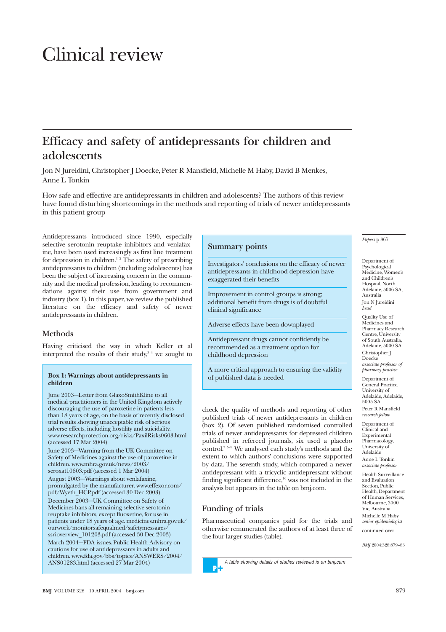# Clinical review

# **Efficacy and safety of antidepressants for children and adolescents**

Jon N Jureidini, Christopher J Doecke, Peter R Mansfield, Michelle M Haby, David B Menkes, Anne L Tonkin

How safe and effective are antidepressants in children and adolescents? The authors of this review have found disturbing shortcomings in the methods and reporting of trials of newer antidepressants in this patient group

Antidepressants introduced since 1990, especially selective serotonin reuptake inhibitors and venlafaxine, have been used increasingly as first line treatment for depression in children.<sup>12</sup> The safety of prescribing antidepressants to children (including adolescents) has been the subject of increasing concern in the community and the medical profession, leading to recommendations against their use from government and industry (box 1). In this paper, we review the published literature on the efficacy and safety of newer antidepressants in children.

# **Methods**

Having criticised the way in which Keller et al interpreted the results of their study, $3/4$  we sought to

#### **Box 1: Warnings about antidepressants in children**

June 2003—Letter from GlaxoSmithKline to all medical practitioners in the United Kingdom actively discouraging the use of paroxetine in patients less than 18 years of age, on the basis of recently disclosed trial results showing unacceptable risk of serious adverse effects, including hostility and suicidality. www.researchprotection.org/risks/PaxilRisks0603.html (accessed 17 Mar 2004) June 2003—Warning from the UK Committee on Safety of Medicines against the use of paroxetine in children. www.mhra.gov.uk/news/2003/

seroxat10603.pdf (accessed 1 Mar 2004) August 2003—Warnings about venlafaxine, promulgated by the manufacturer. www.effexor.com/ pdf/Wyeth\_HCP.pdf (accessed 30 Dec 2003) December 2003—UK Committee on Safety of Medicines bans all remaining selective serotonin reuptake inhibitors, except fluoxetine, for use in patients under 18 years of age. medicines.mhra.gov.uk/ ourwork/monitorsafequalmed/safetymessages/ ssrioverview  $101203$ .pdf (accessed 30 Dec 2003) March 2004—FDA issues. Public Health Advisory on

cautions for use of antidepressants in adults and children. www.fda.gov/bbs/topics/ANSWERS/2004/ ANS01283.html (accessed 27 Mar 2004)

# **Summary points**

Investigators' conclusions on the efficacy of newer antidepressants in childhood depression have exaggerated their benefits

Improvement in control groups is strong; additional benefit from drugs is of doubtful clinical significance

Adverse effects have been downplayed

Antidepressant drugs cannot confidently be recommended as a treatment option for childhood depression

A more critical approach to ensuring the validity of published data is needed

check the quality of methods and reporting of other published trials of newer antidepressants in children (box 2). Of seven published randomised controlled trials of newer antidepressants for depressed children published in refereed journals, six used a placebo control.<sup>3 5–9</sup> We analysed each study's methods and the extent to which authors' conclusions were supported by data. The seventh study, which compared a newer antidepressant with a tricyclic antidepressant without finding significant difference,<sup>10</sup> was not included in the analysis but appears in the table on bmj.com.

# **Funding of trials**

Pharmaceutical companies paid for the trials and otherwise remunerated the authors of at least three of the four larger studies (table).

A table showing details of studies reviewed is on bmj.com

# *Papers* p 867

Department of Psychological Medicine, Women's and Children's Hospital, North Adelaide, 5006 SA, Australia Jon N Jureidini *head*

Quality Use of Medicines and Pharmacy Research Centre, University of South Australia, Adelaide, 5000 SA Christopher J **Doecke** *associate professor of pharmacy practice*

Department of General Practice, University of Adelaide, Adelaide, 5005 SA Peter R Mansfield

*research fellow*

Department of Clinical and Experimental Pharmacology, University of Adelaide

Anne L Tonkin *associate professor*

Health Surveillance and Evaluation Section, Public Health, Department of Human Services, Melbourne, 3000 Vic, Australia Michelle M Haby *senior epidemiologist*

continued over

*BMJ* 2004;328:879–83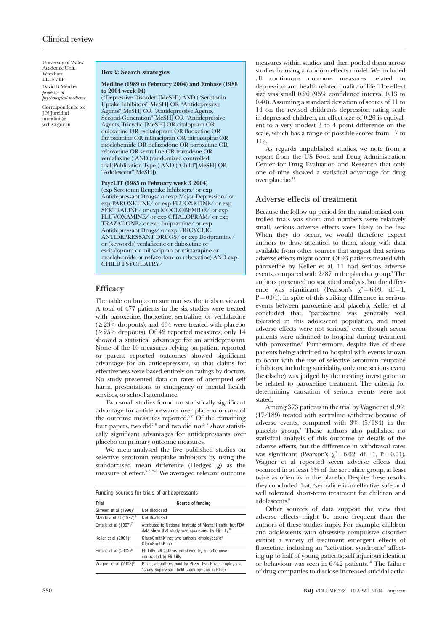University of Wales Academic Unit, Wrexham LL13 7YP David B Menkes *professor of psychological medicine*

Correspondence to: J N Jureidini jureidinij@ wch.sa.gov.au

**Box 2: Search strategies**

#### **Medline (1989 to February 2004) and Embase (1988 to 2004 week 04)**

("Depressive Disorder"[MeSH]) AND ("Serotonin Uptake Inhibitors"[MeSH] OR "Antidepressive Agents"[MeSH] OR "Antidepressive Agents, Second-Generation"[MeSH] OR "Antidepressive Agents, Tricyclic"[MeSH] OR citalopram OR duloxetine OR escitalopram OR fluoxetine OR fluvoxamine OR milnacipran OR mirtazapine OR moclobemide OR nefazodone OR paroxetine OR reboxetine OR sertraline OR trazodone OR venlafaxine ) AND (randomized controlled trial[Publication Type]) AND ("Child"[MeSH] OR "Adolescent"[MeSH])

### **PsycLIT (1985 to February week 3 2004)**

(exp Serotonin Reuptake Inhibitors/ or exp Antidepressant Drugs/ or exp Major Depression/ or exp PAROXETINE/ or exp FLUOXETINE/ or exp SERTRALINE/ or exp MOCLOBEMIDE/ or exp FLUVOXAMINE/ or exp CITALOPRAM/ or exp TRAZADONE/ or exp Imipramine/ or exp Antidepressant Drugs/ or exp TRICYCLIC ANTIDEPRESSANT DRUGS/ or exp Desipramine/ or (keywords) venlafaxine or duloxetine or escitalopram or milnacipran or mirtazapine or moclobemide or nefazodone or reboxetine) AND exp CHILD PSYCHIATRY/

# **Efficacy**

The table on bmj.com summarises the trials reviewed. A total of 477 patients in the six studies were treated with paroxetine, fluoxetine, sertraline, or venlafaxine  $( \geq 23\%)$  dropouts), and 464 were treated with placebo  $( \geq 25\%$  dropouts). Of 42 reported measures, only 14 showed a statistical advantage for an antidepressant. None of the 10 measures relying on patient reported or parent reported outcomes showed significant advantage for an antidepressant, so that claims for effectiveness were based entirely on ratings by doctors. No study presented data on rates of attempted self harm, presentations to emergency or mental health services, or school attendance.

Two small studies found no statistically significant advantage for antidepressants over placebo on any of the outcome measures reported.<sup>5 6</sup> Of the remaining four papers, two did<sup>7 9</sup> and two did not<sup>3 8</sup> show statistically significant advantages for antidepressants over placebo on primary outcome measures.

We meta-analysed the five published studies on selective serotonin reuptake inhibitors by using the standardised mean difference (Hedges' *g*) as the measure of effect. $3 \times 57-9$  We averaged relevant outcome

Funding sources for trials of antidepressants

| Trial                             | Source of funding                                                                                                           |
|-----------------------------------|-----------------------------------------------------------------------------------------------------------------------------|
| Simeon et al (1990) <sup>5</sup>  | Not disclosed                                                                                                               |
| Mandoki et al (1997) <sup>6</sup> | Not disclosed                                                                                                               |
| Emslie et al $(1997)^7$           | Attributed to National Institute of Mental Health, but FDA<br>data show that study was sponsored by Eli Lilly <sup>20</sup> |
| Keller et al $(2001)^3$           | GlaxoSmithKline; two authors employees of<br>GlaxoSmithKline                                                                |
| Emslie et al $(2002)^8$           | Eli Lilly; all authors employed by or otherwise<br>contracted to Eli Lilly                                                  |
| Wagner et al (2003) <sup>9</sup>  | Pfizer; all authors paid by Pfizer; two Pfizer employees;<br>"study supervisor" held stock options in Pfizer                |

measures within studies and then pooled them across studies by using a random effects model. We included all continuous outcome measures related to depression and health related quality of life. The effect size was small 0.26 (95% confidence interval 0.13 to 0.40). Assuming a standard deviation of scores of 11 to 14 on the revised children's depression rating scale in depressed children, an effect size of 0.26 is equivalent to a very modest 3 to 4 point difference on the scale, which has a range of possible scores from 17 to 113.

As regards unpublished studies, we note from a report from the US Food and Drug Administration Center for Drug Evaluation and Research that only one of nine showed a statistical advantage for drug over placebo. $^{11}$ 

## **Adverse effects of treatment**

Because the follow up period for the randomised controlled trials was short, and numbers were relatively small, serious adverse effects were likely to be few. When they do occur, we would therefore expect authors to draw attention to them, along with data available from other sources that suggest that serious adverse effects might occur. Of 93 patients treated with paroxetine by Keller et al, 11 had serious adverse events, compared with  $2/87$  in the placebo group.<sup>3</sup> The authors presented no statistical analysis, but the difference was significant (Pearson's  $\chi^2 = 6.09$ , df = 1,  $P = 0.01$ ). In spite of this striking difference in serious events between paroxetine and placebo, Keller et al concluded that, "paroxetine was generally well tolerated in this adolescent population, and most adverse effects were not serious," even though seven patients were admitted to hospital during treatment with paroxetine.<sup>3</sup> Furthermore, despite five of these patients being admitted to hospital with events known to occur with the use of selective serotonin reuptake inhibitors, including suicidality, only one serious event (headache) was judged by the treating investigator to be related to paroxetine treatment. The criteria for determining causation of serious events were not stated.

Among 373 patients in the trial by Wagner et al, 9% (17/189) treated with sertraline withdrew because of adverse events, compared with 3% (5/184) in the placebo group.9 These authors also published no statistical analysis of this outcome or details of the adverse effects, but the difference in withdrawal rates was significant (Pearson's  $\chi^2 = 6.62$ , df = 1, P = 0.01). Wagner et al reported seven adverse effects that occurred in at least 5% of the sertraline group, at least twice as often as in the placebo. Despite these results they concluded that, "sertraline is an effective, safe, and well tolerated short-term treatment for children and adolescents."

Other sources of data support the view that adverse effects might be more frequent than the authors of these studies imply. For example, children and adolescents with obsessive compulsive disorder exhibit a variety of treatment emergent effects of fluoxetine, including an "activation syndrome" affecting up to half of young patients; self injurious ideation or behaviour was seen in  $6/42$  patients.<sup>12</sup> The failure of drug companies to disclose increased suicidal activ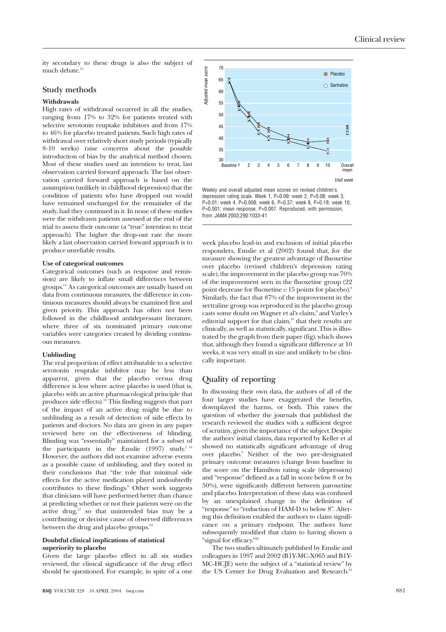ity secondary to these drugs is also the subject of much debate<sup>13</sup>

# **Study methods**

### **Withdrawals**

High rates of withdrawal occurred in all the studies, ranging from 17% to 32% for patients treated with selective serotonin reuptake inhibitors and from 17% to 46% for placebo treated patients. Such high rates of withdrawal over relatively short study periods (typically 8-10 weeks) raise concerns about the possible introduction of bias by the analytical method chosen. Most of these studies used an intention to treat, last observation carried forward approach. The last observation carried forward approach is based on the assumption (unlikely in childhood depression) that the condition of patients who have dropped out would have remained unchanged for the remainder of the study, had they continued in it. In none of these studies were the withdrawn patients assessed at the end of the trial to assess their outcome (a "true" intention to treat approach). The higher the drop-out rate the more likely a last observation carried forward approach is to produce unreliable results.

#### **Use of categorical outcomes**

Categorical outcomes (such as response and remission) are likely to inflate small differences between groups.14 As categorical outcomes are usually based on data from continuous measures, the difference in continuous measures should always be examined first and given priority. This approach has often not been followed in the childhood antidepressant literature, where three of six nominated primary outcome variables were categories created by dividing continuous measures.

#### **Unblinding**

The real proportion of effect attributable to a selective serotonin reuptake inhibitor may be less than apparent, given that the placebo versus drug difference is less where active placebo is used (that is, placebo with an active pharmacological principle that produces side effects).15 This finding suggests that part of the impact of an active drug might be due to unblinding as a result of detection of side effects by patients and doctors. No data are given in any paper reviewed here on the effectiveness of blinding. Blinding was "essentially" maintained for a subset of the participants in the Emslie  $(1997)$  study.<sup>7 16</sup> However, the authors did not examine adverse events as a possible cause of unblinding, and they noted in their conclusions that "the role that minimal side effects for the active medication played undoubtedly contributes to these findings." Other work suggests that clinicians will have performed better than chance at predicting whether or not their patients were on the active drug, $17$  so that unintended bias may be a contributing or decisive cause of observed differences between the drug and placebo groups.<sup>18</sup>

#### **Doubtful clinical implications of statistical superiority to placebo**

Given the large placebo effect in all six studies reviewed, the clinical significance of the drug effect should be questioned. For example, in spite of a one



Weekly and overall adjusted mean scores on revised children's depression rating scale. Week 1, P=0.09; week 2, P=0.08; week 3, P=0.01; week 4, P=0.008; week 6, P=0.37; week 8, P=0.18; week 10, P=0.001; mean response, P=0.007. Reproduced, with permission, from JAMA 2003;290:1033-41

week placebo lead-in and exclusion of initial placebo responders, Emslie et al (2002) found that, for the measure showing the greatest advantage of fluoxetine over placebo (revised children's depression rating scale), the improvement in the placebo group was 70% of the improvement seen in the fluoxetine group (22 point decrease for fluoxetine  $v$  15 points for placebo).<sup>8</sup> Similarly, the fact that 87% of the improvement in the sertraline group was reproduced in the placebo group casts some doubt on Wagner et al's claim,<sup>9</sup> and Varley's editorial support for that claim,<sup>19</sup> that their results are clinically, as well as statistically, significant. This is illustrated by the graph from their paper (fig), which shows that, although they found a significant difference at 10 weeks, it was very small in size and unlikely to be clinically important.

# **Quality of reporting**

In discussing their own data, the authors of all of the four larger studies have exaggerated the benefits, downplayed the harms, or both. This raises the question of whether the journals that published the research reviewed the studies with a sufficient degree of scrutiny, given the importance of the subject. Despite the authors' initial claims, data reported by Keller et al showed no statistically significant advantage of drug over placebo.3 Neither of the two pre-designated primary outcome measures (change from baseline in the score on the Hamilton rating scale (depression) and "response" defined as a fall in score below 8 or by 50%), were significantly different between paroxetine and placebo. Interpretation of these data was confused by an unexplained change in the definition of "response" to "reduction of HAM-D to below 8". Altering this definition enabled the authors to claim significance on a primary endpoint. The authors have subsequently modified that claim to having shown a "signal for efficacy."<sup>20</sup>

The two studies ultimately published by Emslie and colleagues in 1997 and 2002 (B1Y-MC-X065 and B1Y-MC-HCJE) were the subject of a "statistical review" by the US Center for Drug Evaluation and Research.<sup>21</sup>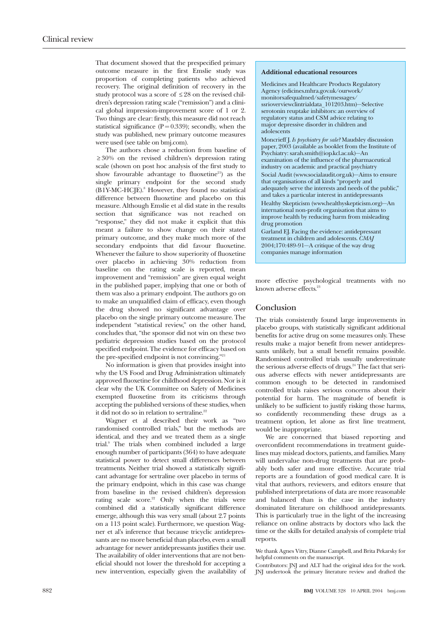That document showed that the prespecified primary outcome measure in the first Emslie study was proportion of completing patients who achieved recovery. The original definition of recovery in the study protocol was a score of ≤ 28 on the revised children's depression rating scale ("remission") and a clinical global impression-improvement score of 1 or 2. Two things are clear: firstly, this measure did not reach statistical significance ( $\dot{P} = 0.339$ ); secondly, when the study was published, new primary outcome measures were used (see table on bmj.com).

The authors chose a reduction from baseline of ≥ 30% on the revised children's depression rating scale (shown on post hoc analysis of the first study to show favourable advantage to fluoxetine $21$ ) as the single primary endpoint for the second study (B1Y-MC-HCJE).8 However, they found no statistical difference between fluoxetine and placebo on this measure. Although Emslie et al did state in the results section that significance was not reached on "response," they did not make it explicit that this meant a failure to show change on their stated primary outcome, and they make much more of the secondary endpoints that did favour fluoxetine. Whenever the failure to show superiority of fluoxetine over placebo in achieving 30% reduction from baseline on the rating scale is reported, mean improvement and "remission" are given equal weight in the published paper, implying that one or both of them was also a primary endpoint. The authors go on to make an unqualified claim of efficacy, even though the drug showed no significant advantage over placebo on the single primary outcome measure. The independent "statistical review," on the other hand, concludes that, "the sponsor did not win on these two pediatric depression studies based on the protocol specified endpoint. The evidence for efficacy based on the pre-specified endpoint is not convincing."<sup>21</sup>

No information is given that provides insight into why the US Food and Drug Administration ultimately approved fluoxetine for childhood depression. Nor is it clear why the UK Committee on Safety of Medicines exempted fluoxetine from its criticisms through accepting the published versions of these studies, when it did not do so in relation to sertraline.<sup>22</sup>

Wagner et al described their work as "two randomised controlled trials," but the methods are identical, and they and we treated them as a single trial.9 The trials when combined included a large enough number of participants (364) to have adequate statistical power to detect small differences between treatments. Neither trial showed a statistically significant advantage for sertraline over placebo in terms of the primary endpoint, which in this case was change from baseline in the revised children's depression rating scale score.<sup>22</sup> Only when the trials were combined did a statistically significant difference emerge, although this was very small (about 2.7 points on a 113 point scale). Furthermore, we question Wagner et al's inference that because tricyclic antidepressants are no more beneficial than placebo, even a small advantage for newer antidepressants justifies their use. The availability of older interventions that are not beneficial should not lower the threshold for accepting a new intervention, especially given the availability of

#### **Additional educational resources**

Medicines and Healthcare Products Regulatory Agency (edicines.mhra.gov.uk/ourwork/ monitorsafequalmed/safetymessages/ ssrioverviewclintrialdata\_101203.htm)—Selective serotonin reuptake inhibitors: an overview of regulatory status and CSM advice relating to major depressive disorder in children and adolescents

Moncrieff J. *Is psychiatry for sale?* Maudsley discussion paper, 2003 (available as booklet from the Institute of Psychiatry: sarah.smith@iop.kcl.ac.uk)—An examination of the influence of the pharmaceutical industry on academic and practical psychiatry Social Audit (www.socialaudit.org.uk)—Aims to ensure that organisations of all kinds "properly and adequately serve the interests and needs of the public." and takes a particular interest in antidepressants

Healthy Skepticism (www.healthyskepticism.org)—An international non-profit organisation that aims to improve health by reducing harm from misleading drug promotion

Garland EJ. Facing the evidence: antidepressant treatment in children and adolescents. *CMAJ* 2004;170:489-91—A critique of the way drug companies manage information

more effective psychological treatments with no known adverse effects.<sup>23</sup>

# **Conclusion**

The trials consistently found large improvements in placebo groups, with statistically significant additional benefits for active drug on some measures only. These results make a major benefit from newer antidepressants unlikely, but a small benefit remains possible. Randomised controlled trials usually underestimate the serious adverse effects of drugs.<sup>24</sup> The fact that serious adverse effects with newer antidepressants are common enough to be detected in randomised controlled trials raises serious concerns about their potential for harm. The magnitude of benefit is unlikely to be sufficient to justify risking those harms, so confidently recommending these drugs as a treatment option, let alone as first line treatment, would be inappropriate.

We are concerned that biased reporting and overconfident recommendations in treatment guidelines may mislead doctors, patients, and families. Many will undervalue non-drug treatments that are probably both safer and more effective. Accurate trial reports are a foundation of good medical care. It is vital that authors, reviewers, and editors ensure that published interpretations of data are more reasonable and balanced than is the case in the industry dominated literature on childhood antidepressants. This is particularly true in the light of the increasing reliance on online abstracts by doctors who lack the time or the skills for detailed analysis of complete trial reports.

We thank Agnes Vitry, Dianne Campbell, and Brita Pekarsky for helpful comments on the manuscript.

Contributors: JNJ and ALT had the original idea for the work. JNJ undertook the primary literature review and drafted the